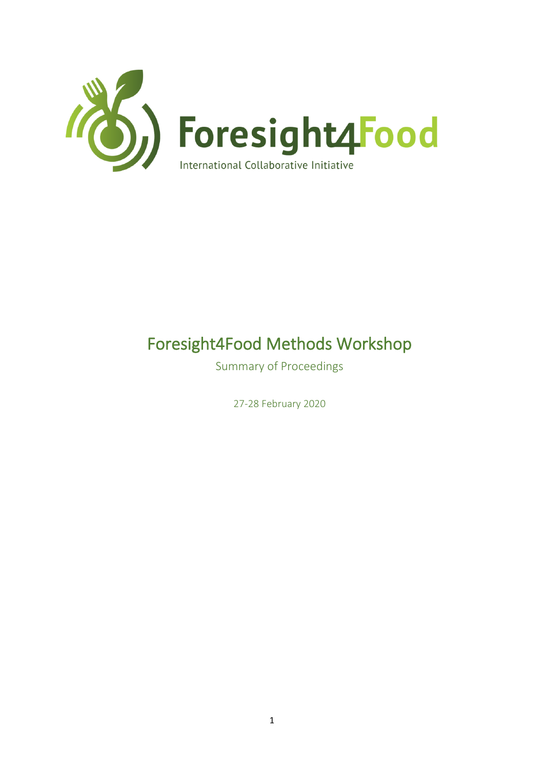

# Foresight4Food Methods Workshop

Summary of Proceedings

27-28 February 2020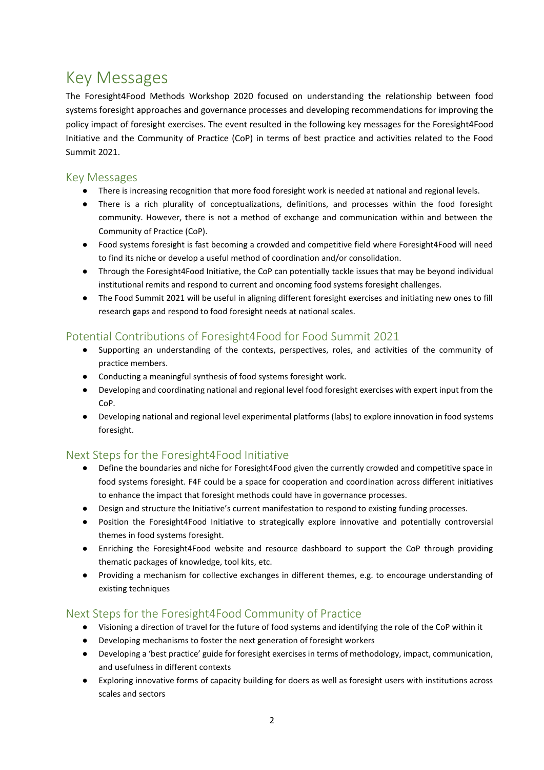# Key Messages

The Foresight4Food Methods Workshop 2020 focused on understanding the relationship between food systems foresight approaches and governance processes and developing recommendations for improving the policy impact of foresight exercises. The event resulted in the following key messages for the Foresight4Food Initiative and the Community of Practice (CoP) in terms of best practice and activities related to the Food Summit 2021.

### Key Messages

- There is increasing recognition that more food foresight work is needed at national and regional levels.
- There is a rich plurality of conceptualizations, definitions, and processes within the food foresight community. However, there is not a method of exchange and communication within and between the Community of Practice (CoP).
- Food systems foresight is fast becoming a crowded and competitive field where Foresight4Food will need to find its niche or develop a useful method of coordination and/or consolidation.
- Through the Foresight4Food Initiative, the CoP can potentially tackle issues that may be beyond individual institutional remits and respond to current and oncoming food systems foresight challenges.
- The Food Summit 2021 will be useful in aligning different foresight exercises and initiating new ones to fill research gaps and respond to food foresight needs at national scales.

### Potential Contributions of Foresight4Food for Food Summit 2021

- Supporting an understanding of the contexts, perspectives, roles, and activities of the community of practice members.
- Conducting a meaningful synthesis of food systems foresight work.
- Developing and coordinating national and regional level food foresight exercises with expert input from the CoP.
- Developing national and regional level experimental platforms (labs) to explore innovation in food systems foresight.

### Next Steps for the Foresight4Food Initiative

- Define the boundaries and niche for Foresight4Food given the currently crowded and competitive space in food systems foresight. F4F could be a space for cooperation and coordination across different initiatives to enhance the impact that foresight methods could have in governance processes.
- Design and structure the Initiative's current manifestation to respond to existing funding processes.
- Position the Foresight4Food Initiative to strategically explore innovative and potentially controversial themes in food systems foresight.
- Enriching the Foresight4Food website and resource dashboard to support the CoP through providing thematic packages of knowledge, tool kits, etc.
- Providing a mechanism for collective exchanges in different themes, e.g. to encourage understanding of existing techniques

### Next Steps for the Foresight4Food Community of Practice

- Visioning a direction of travel for the future of food systems and identifying the role of the CoP within it
- Developing mechanisms to foster the next generation of foresight workers
- Developing a 'best practice' guide for foresight exercises in terms of methodology, impact, communication, and usefulness in different contexts
- Exploring innovative forms of capacity building for doers as well as foresight users with institutions across scales and sectors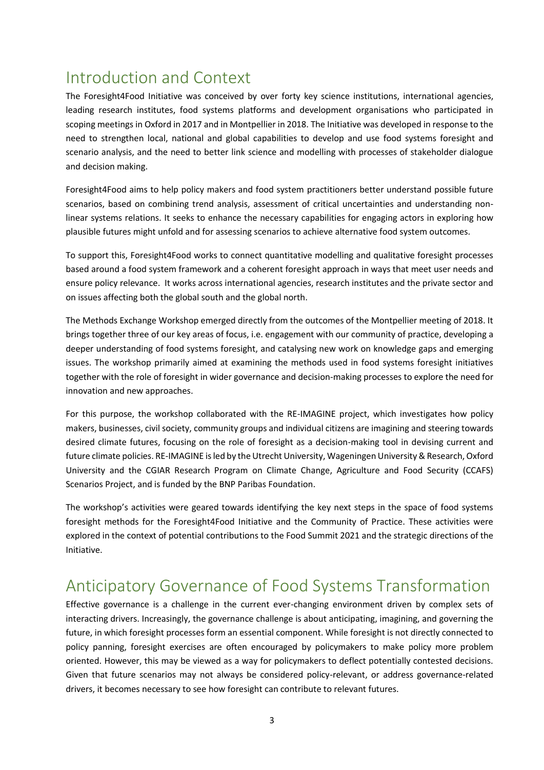# Introduction and Context

The Foresight4Food Initiative was conceived by over forty key science institutions, international agencies, leading research institutes, food systems platforms and development organisations who participated in scoping meetings in Oxford in 2017 and in Montpellier in 2018. The Initiative was developed in response to the need to strengthen local, national and global capabilities to develop and use food systems foresight and scenario analysis, and the need to better link science and modelling with processes of stakeholder dialogue and decision making.

Foresight4Food aims to help policy makers and food system practitioners better understand possible future scenarios, based on combining trend analysis, assessment of critical uncertainties and understanding nonlinear systems relations. It seeks to enhance the necessary capabilities for engaging actors in exploring how plausible futures might unfold and for assessing scenarios to achieve alternative food system outcomes.

To support this, Foresight4Food works to connect quantitative modelling and qualitative foresight processes based around a food system framework and a coherent foresight approach in ways that meet user needs and ensure policy relevance. It works across international agencies, research institutes and the private sector and on issues affecting both the global south and the global north.

The Methods Exchange Workshop emerged directly from the outcomes of the Montpellier meeting of 2018. It brings together three of our key areas of focus, i.e. engagement with our community of practice, developing a deeper understanding of food systems foresight, and catalysing new work on knowledge gaps and emerging issues. The workshop primarily aimed at examining the methods used in food systems foresight initiatives together with the role of foresight in wider governance and decision-making processes to explore the need for innovation and new approaches.

For this purpose, the workshop collaborated with the RE-IMAGINE project, which investigates how policy makers, businesses, civil society, community groups and individual citizens are imagining and steering towards desired climate futures, focusing on the role of foresight as a decision-making tool in devising current and future climate policies. RE-IMAGINE is led by the Utrecht University, Wageningen University & Research, Oxford University and the CGIAR Research Program on Climate Change, Agriculture and Food Security (CCAFS) Scenarios Project, and is funded by the BNP Paribas Foundation.

The workshop's activities were geared towards identifying the key next steps in the space of food systems foresight methods for the Foresight4Food Initiative and the Community of Practice. These activities were explored in the context of potential contributions to the Food Summit 2021 and the strategic directions of the Initiative.

# Anticipatory Governance of Food Systems Transformation

Effective governance is a challenge in the current ever-changing environment driven by complex sets of interacting drivers. Increasingly, the governance challenge is about anticipating, imagining, and governing the future, in which foresight processes form an essential component. While foresight is not directly connected to policy panning, foresight exercises are often encouraged by policymakers to make policy more problem oriented. However, this may be viewed as a way for policymakers to deflect potentially contested decisions. Given that future scenarios may not always be considered policy-relevant, or address governance-related drivers, it becomes necessary to see how foresight can contribute to relevant futures.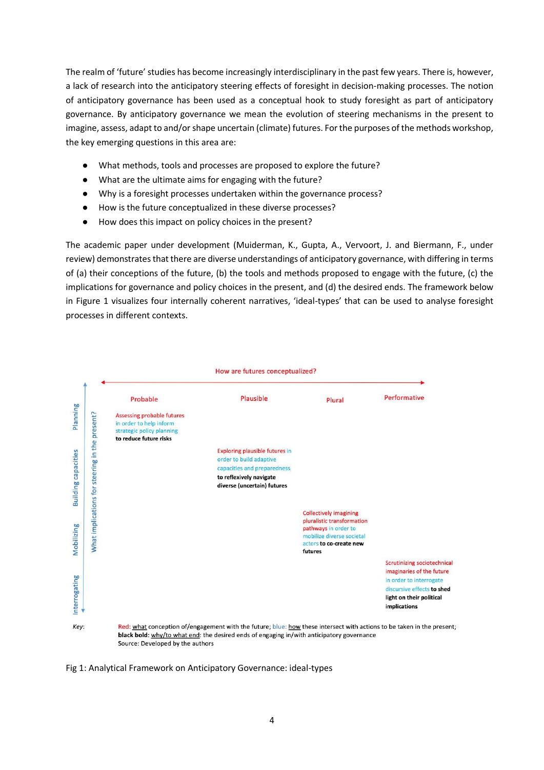The realm of 'future' studies has become increasingly interdisciplinary in the past few years. There is, however, a lack of research into the anticipatory steering effects of foresight in decision-making processes. The notion of anticipatory governance has been used as a conceptual hook to study foresight as part of anticipatory governance. By anticipatory governance we mean the evolution of steering mechanisms in the present to imagine, assess, adapt to and/or shape uncertain (climate) futures. For the purposes of the methods workshop, the key emerging questions in this area are:

- What methods, tools and processes are proposed to explore the future?
- What are the ultimate aims for engaging with the future?
- Why is a foresight processes undertaken within the governance process?
- How is the future conceptualized in these diverse processes?
- How does this impact on policy choices in the present?

The academic paper under development (Muiderman, K., Gupta, A., Vervoort, J. and Biermann, F., under review) demonstrates that there are diverse understandings of anticipatory governance, with differing in terms of (a) their conceptions of the future, (b) the tools and methods proposed to engage with the future, (c) the implications for governance and policy choices in the present, and (d) the desired ends. The framework below in Figure 1 visualizes four internally coherent narratives, 'ideal-types' that can be used to analyse foresight processes in different contexts.



Fig 1: Analytical Framework on Anticipatory Governance: ideal-types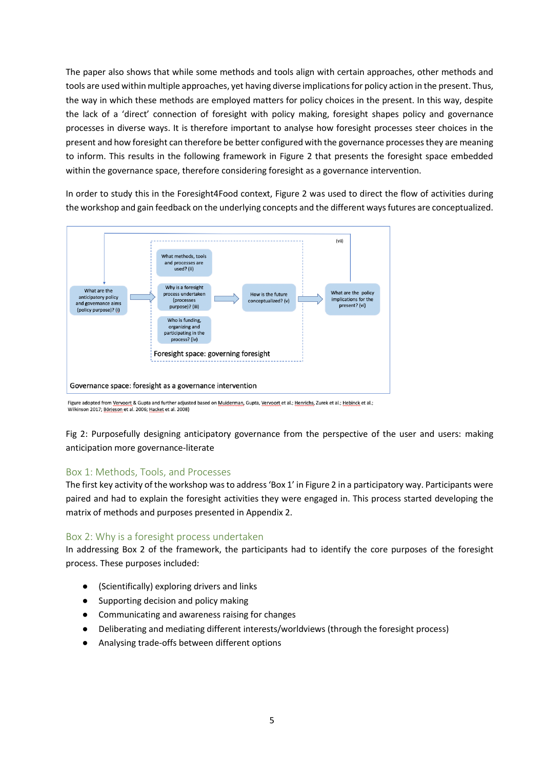The paper also shows that while some methods and tools align with certain approaches, other methods and tools are used within multiple approaches, yet having diverse implications for policy action in the present. Thus, the way in which these methods are employed matters for policy choices in the present. In this way, despite the lack of a 'direct' connection of foresight with policy making, foresight shapes policy and governance processes in diverse ways. It is therefore important to analyse how foresight processes steer choices in the present and how foresight can therefore be better configured with the governance processes they are meaning to inform. This results in the following framework in Figure 2 that presents the foresight space embedded within the governance space, therefore considering foresight as a governance intervention.

In order to study this in the Foresight4Food context, Figure 2 was used to direct the flow of activities during the workshop and gain feedback on the underlying concepts and the different ways futures are conceptualized.



Figure adopted from <u>Vervoort</u> & Gupta and further adjusted based on <u>Muiderman</u>, Gupta, <u>Vervoort</u> et al.; <u>Henrichs</u>, Zurek et al.; <u>Hebinck</u> et al.;<br>Wilkinson 2017; Börjeson et al. 2006; Hacket et al. 2008)

Fig 2: Purposefully designing anticipatory governance from the perspective of the user and users: making anticipation more governance-literate

#### Box 1: Methods, Tools, and Processes

The first key activity of the workshop was to address 'Box 1' in Figure 2 in a participatory way. Participants were paired and had to explain the foresight activities they were engaged in. This process started developing the matrix of methods and purposes presented in Appendix 2.

#### Box 2: Why is a foresight process undertaken

In addressing Box 2 of the framework, the participants had to identify the core purposes of the foresight process. These purposes included:

- (Scientifically) exploring drivers and links
- Supporting decision and policy making
- Communicating and awareness raising for changes
- Deliberating and mediating different interests/worldviews (through the foresight process)
- Analysing trade-offs between different options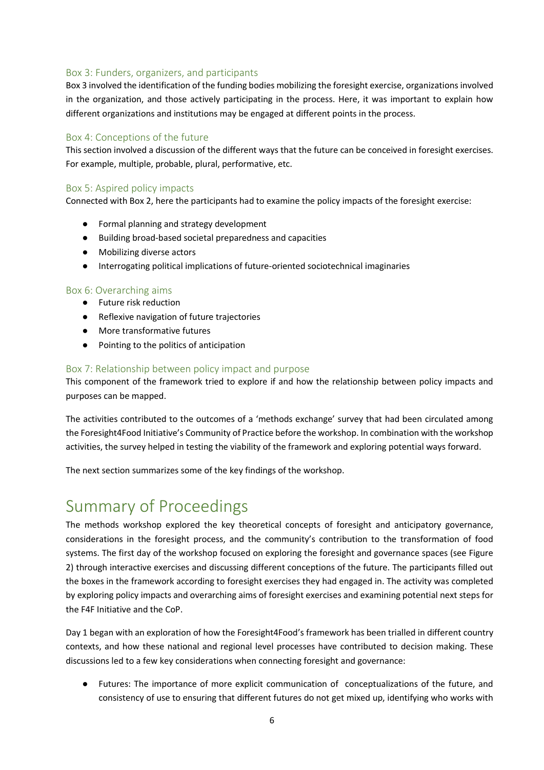#### Box 3: Funders, organizers, and participants

Box 3 involved the identification of the funding bodies mobilizing the foresight exercise, organizations involved in the organization, and those actively participating in the process. Here, it was important to explain how different organizations and institutions may be engaged at different points in the process.

#### Box 4: Conceptions of the future

This section involved a discussion of the different ways that the future can be conceived in foresight exercises. For example, multiple, probable, plural, performative, etc.

#### Box 5: Aspired policy impacts

Connected with Box 2, here the participants had to examine the policy impacts of the foresight exercise:

- Formal planning and strategy development
- Building broad-based societal preparedness and capacities
- Mobilizing diverse actors
- Interrogating political implications of future-oriented sociotechnical imaginaries

#### Box 6: Overarching aims

- Future risk reduction
- Reflexive navigation of future trajectories
- More transformative futures
- Pointing to the politics of anticipation

#### Box 7: Relationship between policy impact and purpose

This component of the framework tried to explore if and how the relationship between policy impacts and purposes can be mapped.

The activities contributed to the outcomes of a 'methods exchange' survey that had been circulated among the Foresight4Food Initiative's Community of Practice before the workshop. In combination with the workshop activities, the survey helped in testing the viability of the framework and exploring potential ways forward.

The next section summarizes some of the key findings of the workshop.

# Summary of Proceedings

The methods workshop explored the key theoretical concepts of foresight and anticipatory governance, considerations in the foresight process, and the community's contribution to the transformation of food systems. The first day of the workshop focused on exploring the foresight and governance spaces (see Figure 2) through interactive exercises and discussing different conceptions of the future. The participants filled out the boxes in the framework according to foresight exercises they had engaged in. The activity was completed by exploring policy impacts and overarching aims of foresight exercises and examining potential next steps for the F4F Initiative and the CoP.

Day 1 began with an exploration of how the Foresight4Food's framework has been trialled in different country contexts, and how these national and regional level processes have contributed to decision making. These discussions led to a few key considerations when connecting foresight and governance:

● Futures: The importance of more explicit communication of conceptualizations of the future, and consistency of use to ensuring that different futures do not get mixed up, identifying who works with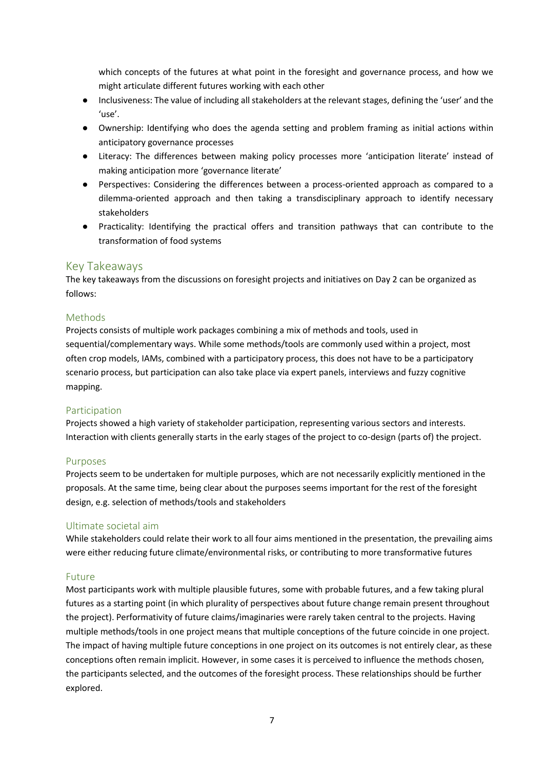which concepts of the futures at what point in the foresight and governance process, and how we might articulate different futures working with each other

- Inclusiveness: The value of including all stakeholders at the relevant stages, defining the 'user' and the 'use'.
- Ownership: Identifying who does the agenda setting and problem framing as initial actions within anticipatory governance processes
- Literacy: The differences between making policy processes more 'anticipation literate' instead of making anticipation more 'governance literate'
- Perspectives: Considering the differences between a process-oriented approach as compared to a dilemma-oriented approach and then taking a transdisciplinary approach to identify necessary stakeholders
- Practicality: Identifying the practical offers and transition pathways that can contribute to the transformation of food systems

#### Key Takeaways

The key takeaways from the discussions on foresight projects and initiatives on Day 2 can be organized as follows:

#### Methods

Projects consists of multiple work packages combining a mix of methods and tools, used in sequential/complementary ways. While some methods/tools are commonly used within a project, most often crop models, IAMs, combined with a participatory process, this does not have to be a participatory scenario process, but participation can also take place via expert panels, interviews and fuzzy cognitive mapping.

#### Participation

Projects showed a high variety of stakeholder participation, representing various sectors and interests. Interaction with clients generally starts in the early stages of the project to co-design (parts of) the project.

#### Purposes

Projects seem to be undertaken for multiple purposes, which are not necessarily explicitly mentioned in the proposals. At the same time, being clear about the purposes seems important for the rest of the foresight design, e.g. selection of methods/tools and stakeholders

#### Ultimate societal aim

While stakeholders could relate their work to all four aims mentioned in the presentation, the prevailing aims were either reducing future climate/environmental risks, or contributing to more transformative futures

#### Future

Most participants work with multiple plausible futures, some with probable futures, and a few taking plural futures as a starting point (in which plurality of perspectives about future change remain present throughout the project). Performativity of future claims/imaginaries were rarely taken central to the projects. Having multiple methods/tools in one project means that multiple conceptions of the future coincide in one project. The impact of having multiple future conceptions in one project on its outcomes is not entirely clear, as these conceptions often remain implicit. However, in some cases it is perceived to influence the methods chosen, the participants selected, and the outcomes of the foresight process. These relationships should be further explored.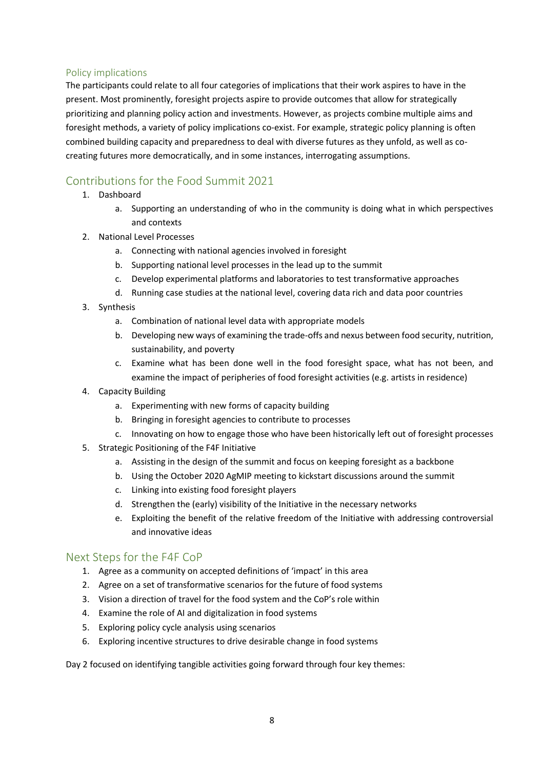#### Policy implications

The participants could relate to all four categories of implications that their work aspires to have in the present. Most prominently, foresight projects aspire to provide outcomes that allow for strategically prioritizing and planning policy action and investments. However, as projects combine multiple aims and foresight methods, a variety of policy implications co-exist. For example, strategic policy planning is often combined building capacity and preparedness to deal with diverse futures as they unfold, as well as cocreating futures more democratically, and in some instances, interrogating assumptions.

## Contributions for the Food Summit 2021

- 1. Dashboard
	- a. Supporting an understanding of who in the community is doing what in which perspectives and contexts
- 2. National Level Processes
	- a. Connecting with national agencies involved in foresight
	- b. Supporting national level processes in the lead up to the summit
	- c. Develop experimental platforms and laboratories to test transformative approaches
	- d. Running case studies at the national level, covering data rich and data poor countries
- 3. Synthesis
	- a. Combination of national level data with appropriate models
	- b. Developing new ways of examining the trade-offs and nexus between food security, nutrition, sustainability, and poverty
	- c. Examine what has been done well in the food foresight space, what has not been, and examine the impact of peripheries of food foresight activities (e.g. artists in residence)
- 4. Capacity Building
	- a. Experimenting with new forms of capacity building
	- b. Bringing in foresight agencies to contribute to processes
	- c. Innovating on how to engage those who have been historically left out of foresight processes
- 5. Strategic Positioning of the F4F Initiative
	- a. Assisting in the design of the summit and focus on keeping foresight as a backbone
	- b. Using the October 2020 AgMIP meeting to kickstart discussions around the summit
	- c. Linking into existing food foresight players
	- d. Strengthen the (early) visibility of the Initiative in the necessary networks
	- e. Exploiting the benefit of the relative freedom of the Initiative with addressing controversial and innovative ideas

#### Next Steps for the F4F CoP

- 1. Agree as a community on accepted definitions of 'impact' in this area
- 2. Agree on a set of transformative scenarios for the future of food systems
- 3. Vision a direction of travel for the food system and the CoP's role within
- 4. Examine the role of AI and digitalization in food systems
- 5. Exploring policy cycle analysis using scenarios
- 6. Exploring incentive structures to drive desirable change in food systems

Day 2 focused on identifying tangible activities going forward through four key themes: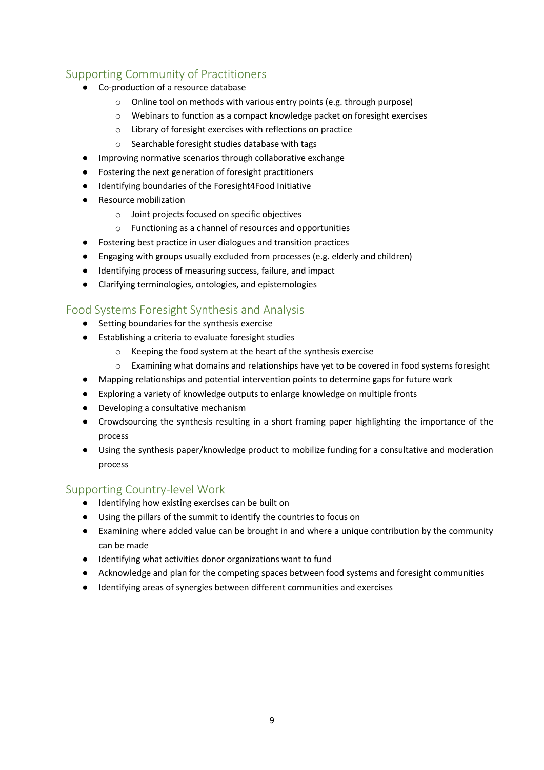### Supporting Community of Practitioners

- Co-production of a resource database
	- o Online tool on methods with various entry points (e.g. through purpose)
	- o Webinars to function as a compact knowledge packet on foresight exercises
	- o Library of foresight exercises with reflections on practice
	- o Searchable foresight studies database with tags
- Improving normative scenarios through collaborative exchange
- Fostering the next generation of foresight practitioners
- Identifying boundaries of the Foresight4Food Initiative
- Resource mobilization
	- o Joint projects focused on specific objectives
	- o Functioning as a channel of resources and opportunities
- Fostering best practice in user dialogues and transition practices
- Engaging with groups usually excluded from processes (e.g. elderly and children)
- Identifying process of measuring success, failure, and impact
- Clarifying terminologies, ontologies, and epistemologies

### Food Systems Foresight Synthesis and Analysis

- Setting boundaries for the synthesis exercise
- Establishing a criteria to evaluate foresight studies
	- o Keeping the food system at the heart of the synthesis exercise
	- $\circ$  Examining what domains and relationships have yet to be covered in food systems foresight
- Mapping relationships and potential intervention points to determine gaps for future work
- Exploring a variety of knowledge outputs to enlarge knowledge on multiple fronts
- Developing a consultative mechanism
- Crowdsourcing the synthesis resulting in a short framing paper highlighting the importance of the process
- Using the synthesis paper/knowledge product to mobilize funding for a consultative and moderation process

### Supporting Country-level Work

- Identifying how existing exercises can be built on
- Using the pillars of the summit to identify the countries to focus on
- Examining where added value can be brought in and where a unique contribution by the community can be made
- Identifying what activities donor organizations want to fund
- Acknowledge and plan for the competing spaces between food systems and foresight communities
- Identifying areas of synergies between different communities and exercises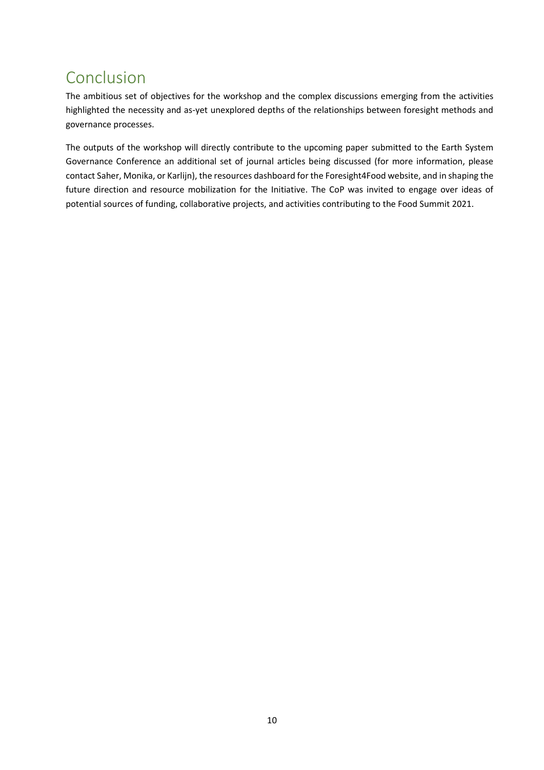# Conclusion

The ambitious set of objectives for the workshop and the complex discussions emerging from the activities highlighted the necessity and as-yet unexplored depths of the relationships between foresight methods and governance processes.

The outputs of the workshop will directly contribute to the upcoming paper submitted to the Earth System Governance Conference an additional set of journal articles being discussed (for more information, please contact Saher, Monika, or Karlijn), the resources dashboard for the Foresight4Food website, and in shaping the future direction and resource mobilization for the Initiative. The CoP was invited to engage over ideas of potential sources of funding, collaborative projects, and activities contributing to the Food Summit 2021.